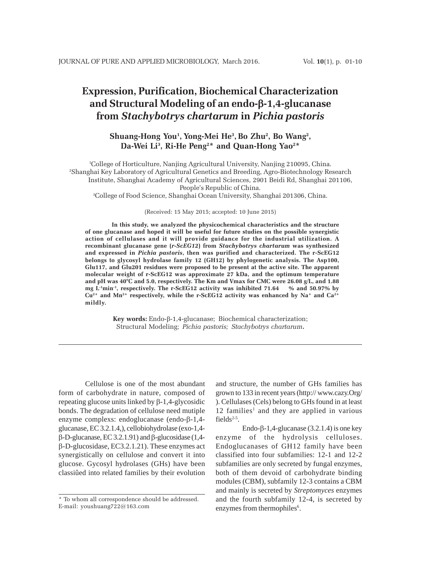# **Expression, Purification, Biochemical Characterization and Structural Modeling of an endo-**β**-1,4-glucanase from** *Stachybotrys chartarum* **in** *Pichia pastoris*

# **Shuang-Hong You1 , Yong-Mei He3 , Bo Zhu2 , Bo Wang2 ,** Da-Wei Li<sup>3</sup>, Ri-He Peng<sup>2\*</sup> and Quan-Hong Yao<sup>2\*</sup>

1 College of Horticulture, Nanjing Agricultural University, Nanjing 210095, China. 2 Shanghai Key Laboratory of Agricultural Genetics and Breeding, Agro-Biotechnology Research Institute, Shanghai Academy of Agricultural Sciences, 2901 Beidi Rd, Shanghai 201106, People's Republic of China.

3 College of Food Science, Shanghai Ocean University, Shanghai 201306, China.

(Received: 15 May 2015; accepted: 10 June 2015)

**In this study, we analyzed the physicochemical characteristics and the structure of one glucanase and hoped it will be useful for future studies on the possible synergistic action of cellulases and it will provide guidance for the industrial utilization. A recombinant glucanase gene (***r-ScEG12***) from** *Stachybotrys chartarum* **was synthesized and expressed in** *Pichia pastoris***, then was purified and characterized. The r-ScEG12 belongs to glycosyl hydrolase family 12 (GH12) by phylogenetic analysis. The Asp100, Glu117, and Glu201 residues were proposed to be present at the active site. The apparent molecular weight of r-ScEG12 was approximate 27 kDa, and the optimum temperature and pH was 40°C and 5.0, respectively. The Km and Vmax for CMC were 26.08 g/L, and 1.88 mg L-1min-1, respectively. The r-ScEG12 activity was inhibited 71.64 % and 50.97% by Cu2+ and Mn2+ respectively, while the r-ScEG12 activity was enhanced by Na+ and Ca2+ mildly.**

> **Key words:** Endo-β-1,4-glucanase; Biochemical characterization; Structural Modeling; *Pichia pastoris; Stachybotrys chartarum***.**

Cellulose is one of the most abundant form of carbohydrate in nature, composed of repeating glucose units linked by β-1,4-glycosidic bonds. The degradation of cellulose need mutiple enzyme complexs: endoglucanase (endo-β-1,4 glucanase, EC 3.2.1.4,), cellobiohydrolase (exo-1,4 β-D-glucanase, EC 3.2.1.91) and β-glucosidase (1,4 β-D-glucosidase, EC3.2.1.21). These enzymes act synergistically on cellulose and convert it into glucose. Gycosyl hydrolases (GHs) have been classiûed into related families by their evolution and structure, the number of GHs families has grown to 133 in recent years (http:// www.cazy.Org/ ). Cellulases (Cels) belong to GHs found in at least 12 families<sup>1</sup> and they are applied in various fields $2-5$ .

Endo- $\beta$ -1,4-glucanase (3.2.1.4) is one key enzyme of the hydrolysis celluloses. Endoglucanases of GH12 family have been classified into four subfamilies: 12-1 and 12-2 subfamilies are only secreted by fungal enzymes, both of them devoid of carbohydrate binding modules (CBM), subfamily 12-3 contains a CBM and mainly is secreted by *Streptomyces* enzymes and the fourth subfamily 12-4, is secreted by enzymes from thermophiles<sup>6</sup>.

<sup>\*</sup> To whom all correspondence should be addressed. E-mail: youshuang722@163.com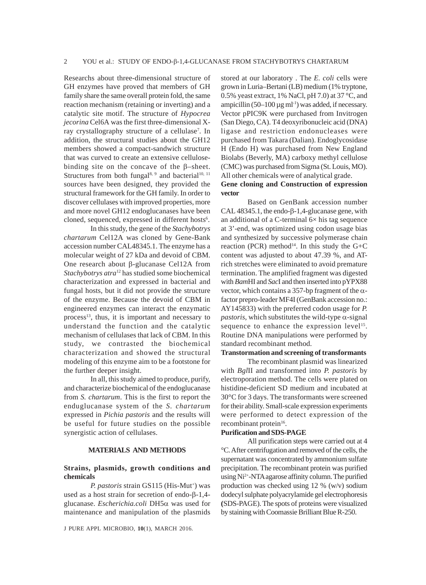Researchs about three-dimensional structure of GH enzymes have proved that members of GH family share the same overall protein fold, the same reaction mechanism (retaining or inverting) and a catalytic site motif. The structure of *Hypocrea jecorina* Cel6A was the first three-dimensional Xray crystallography structure of a cellulase<sup>7</sup>. In addition, the structural studies about the GH12 members showed a compact-sandwich structure that was curved to create an extensive cellulosebinding site on the concave of the β–sheet. Structures from both fungal<sup>8, 9</sup> and bacterial<sup>10, 11</sup> sources have been designed, they provided the structural framework for the GH family. In order to discover cellulases with improved properties, more and more novel GH12 endoglucanases have been cloned, sequenced, expressed in different hosts<sup>6</sup>.

In this study, the gene of the *Stachybotrys chartarum* Cel12A was cloned by Gene-Bank accession number CAL48345.1. The enzyme has a molecular weight of 27 kDa and devoid of CBM. One research about β-glucanase Cel12A from *Stachybotrys atra*12 has studied some biochemical characterization and expressed in bacterial and fungal hosts, but it did not provide the structure of the enzyme. Because the devoid of CBM in engineered enzymes can interact the enzymatic process<sup>13</sup>, thus, it is important and necessary to understand the function and the catalytic mechanism of cellulases that lack of CBM. In this study, we contrasted the biochemical characterization and showed the structural modeling of this enzyme aim to be a footstone for the further deeper insight.

In all, this study aimed to produce, purify, and characterize biochemical of the endoglucanase from *S. chartarum*. This is the first to report the enduglucanase system of the *S. chartarum* expressed in *Pichia pastoris* and the results will be useful for future studies on the possible synergistic action of cellulases.

## **MATERIALS AND METHODS**

# **Strains, plasmids, growth conditions and chemicals**

P. pastoris strain GS115 (His-Mut<sup>+</sup>) was used as a host strain for secretion of endo-β-1,4 glucanase. *Escherichia.coli* DH5α was used for maintenance and manipulation of the plasmids

J PURE APPL MICROBIO*,* **10**(1), MARCH 2016.

stored at our laboratory . The *E. coli* cells were grown in Luria–Bertani (LB) medium (1% tryptone, 0.5% yeast extract, 1% NaCl, pH 7.0) at 37 °C, and ampicillin  $(50-100 \,\mu g \,\text{ml}^{-1})$  was added, if necessary. Vector pPIC9K were purchased from Invitrogen (San Diego, CA). T4 deoxyribonucleic acid (DNA) ligase and restriction endonucleases were purchased from Takara (Dalian). Endoglycosidase H (Endo H) was purchased from New England Biolabs (Beverly, MA) carboxy methyl cellulose (CMC) was purchased from Sigma (St. Louis, MO). All other chemicals were of analytical grade.

# **Gene cloning and Construction of expression vector**

Based on GenBank accession number CAL 48345.1, the endo-β-1,4-glucanase gene, with an additional of a C-terminal  $6\times$  his tag sequence at 3'-end, was optimized using codon usage bias and synthesized by successive polymerase chain reaction (PCR) method<sup>14</sup>. In this study the G+C content was adjusted to about 47.39 %, and ATrich stretches were eliminated to avoid premature termination. The amplified fragment was digested with *Bam*HI and *Sac*I and then inserted into pYPX88 vector, which contains a 357-bp fragment of the  $\alpha$ factor prepro-leader MF4I (GenBank accession no.: AY145833) with the preferred codon usage for *P.*  $pastoris$ , which substitutes the wild-type  $\alpha$ -signal sequence to enhance the expression level<sup>15</sup>. Routine DNA manipulations were performed by standard recombinant method.

# **Transtormation and screening of transformants**

The recombinant plasmid was linearized with *Bgl*II and transformed into *P. pastoris* by electroporation method. The cells were plated on histidine-deficient SD medium and incubated at 30°C for 3 days. The transformants were screened for their ability. Small-scale expression experiments were performed to detect expression of the recombinant protein<sup>16</sup>.

#### **Purification and SDS-PAGE**

All purification steps were carried out at 4 °C. After centrifugation and removed of the cells, the supernatant was concentrated by ammonium sulfate precipitation. The recombinant protein was purified using Ni2+-NTA agarose affinity column. The purified production was checked using 12 % (w/v) sodium dodecyl sulphate polyacrylamide gel electrophoresis **(**SDS-PAGE). The spots of proteins were visualized by staining with Coomassie Brilliant Blue R-250.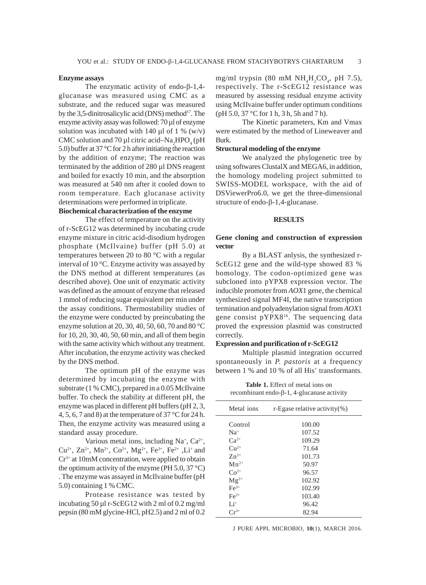# **Enzyme assays**

The enzymatic activity of endo-β-1,4 glucanase was measured using CMC as a substrate, and the reduced sugar was measured by the 3,5-dinitrosalicylic acid (DNS) method<sup>17</sup>. The enzyme activity assay was followed: 70 µl of enzyme solution was incubated with 140  $\mu$ l of 1 % (w/v) CMC solution and 70  $\mu$ l citric acid–Na<sub>2</sub>HPO<sub>4</sub> (pH 5.0) buffer at 37 °C for 2 h after initiating the reaction by the addition of enzyme; The reaction was terminated by the addition of 280 µl DNS reagent and boiled for exactly 10 min, and the absorption was measured at 540 nm after it cooled down to room temperature. Each glucanase activity determinations were performed in triplicate.

# **Biochemical characterization of the enzyme**

The effect of temperature on the activity of r-ScEG12 was determined by incubating crude enzyme mixture in citric acid-disodium hydrogen phosphate (McIlvaine) buffer (pH 5.0) at temperatures between 20 to 80 °C with a regular interval of 10 °C. Enzyme activity was assayed by the DNS method at different temperatures (as described above). One unit of enzymatic activity was defined as the amount of enzyme that released 1 mmol of reducing sugar equivalent per min under the assay conditions. Thermostability studies of the enzyme were conducted by preincubating the enzyme solution at 20, 30, 40, 50, 60, 70 and 80 °C for 10, 20, 30, 40, 50, 60 min, and all of them begin with the same activity which without any treatment. After incubation, the enzyme activity was checked by the DNS method.

The optimum pH of the enzyme was determined by incubating the enzyme with substrate (1 % CMC), prepared in a 0.05 McIlvaine buffer. To check the stability at different pH, the enzyme was placed in different pH buffers (pH 2, 3, 4, 5, 6, 7 and 8) at the temperature of 37 °C for 24 h. Then, the enzyme activity was measured using a standard assay procedure.

Various metal ions, including  $Na^+$ ,  $Ca^{2+}$ ,  $Cu^{2+}$ ,  $Zn^{2+}$ ,  $Mn^{2+}$ ,  $Co^{2+}$ ,  $Mg^{2+}$ ,  $Fe^{3+}$ ,  $Fe^{2+}$ ,  $Li^{+}$  and Cr3+ at 10mM concentration, were applied to obtain the optimum activity of the enzyme (PH  $5.0$ ,  $37^{\circ}$ C) . The enzyme was assayed in McIlvaine buffer (pH 5.0) containing 1 % CMC.

Protease resistance was tested by incubating 50 µl r-ScEG12 with 2 ml of 0.2 mg/ml pepsin (80 mM glycine-HCl, pH2.5) and 2 ml of 0.2

mg/ml trypsin (80 mM  $NH<sub>4</sub>H<sub>2</sub>CO<sub>4</sub>$ , pH 7.5), respectively. The r-ScEG12 resistance was measured by assessing residual enzyme activity using McIIvaine buffer under optimum conditions (pH 5.0, 37 °C for 1 h, 3 h, 5h and 7 h).

The Kinetic parameters, Km and Vmax were estimated by the method of Lineweaver and Burk.

### **Structural modeling of the enzyme**

We analyzed the phylogenetic tree by using softwares ClustalX and MEGA6, in addition, the homology modeling project submitted to SWISS-MODEL workspace, with the aid of DSViewerPro6.0, we get the three-dimensional structure of endo-β-1,4-glucanase.

#### **RESULTS**

## **Gene cloning and construction of expression vector**

By a BLAST anlysis, the synthesized r-ScEG12 gene and the wild-type showed 83 % homology. The codon-optimized gene was subcloned into pYPX8 expression vector. The inducible promoter from *AOX*1 gene, the chemical synthesized signal MF4I, the native transcription termination and polyadenylation signal from *AOX*1 gene consist pYPX816. The sequencing data proved the expression plasmid was constructed correctly.

#### **Expression and purification of r-ScEG12**

Multiple plasmid integration occurred spontaneously in *P. pastoris* at a frequency between 1 % and 10 % of all His<sup>+</sup> transformants.

**Table 1.** Effect of metal ions on recombinant endo-β-1, 4-glucanase activity

| Metal ions    | r-Egase relative activity $(\%)$ |
|---------------|----------------------------------|
| Control       | 100.00                           |
| $Na+$         | 107.52                           |
| $Ca^{2+}$     | 109.29                           |
| $C_{11}^{2+}$ | 71.64                            |
| $Zn^{2+}$     | 101.73                           |
| $Mn^{2+}$     | 50.97                            |
| $Co2+$        | 96.57                            |
| $Mg^{2+}$     | 102.92                           |
| $Fe3+$        | 102.99                           |
| $Fe2+$        | 103.40                           |
| $Li^+$        | 96.42                            |
| $Cr^{3+}$     | 82.94                            |
|               |                                  |

J PURE APPL MICROBIO*,* **10**(1), MARCH 2016.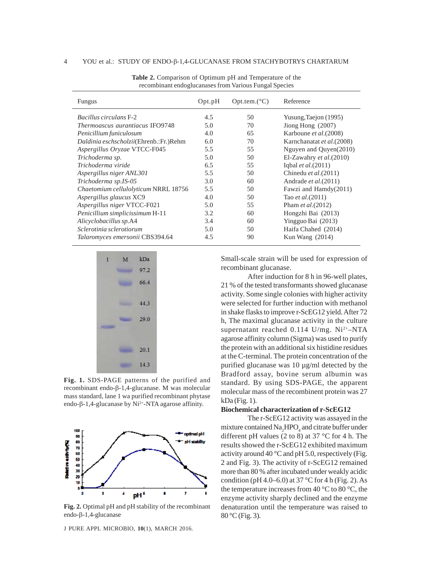| Fungus                                 | Opt.pdf | $Opt.$ tem. $(^{\circ}C)$ | Reference                 |
|----------------------------------------|---------|---------------------------|---------------------------|
| <i>Bacillus circulans</i> F-2          | 4.5     | 50                        | Yusung, Taejon (1995)     |
| <i>Thermoascus aurantiacus IFO9748</i> | 5.0     | 70                        | Jiong Hong $(2007)$       |
| Penicillium funiculosum                | 4.0     | 65                        | Karboune et al. (2008)    |
| Daldinia eschscholzii(Ehrenb.:Fr.)Rehm | 6.0     | 70                        | Karnchanatat et al.(2008) |
| Aspergillus Oryzae VTCC-F045           | 5.5     | 55                        | Nguyen and Quyen(2010)    |
| Trichoderma sp.                        | 5.0     | 50                        | El-Zawahry et $al.(2010)$ |
| Trichoderma viride                     | 6.5     | 55                        | Iqbal et al. $(2011)$     |
| Aspergillus niger ANL301               | 5.5     | 50                        | Chinedu et al.(2011)      |
| Trichoderma sp.IS-05                   | 3.0     | 60                        | Andrade et al. (2011)     |
| Chaetomium cellulolyticum NRRL 18756   | 5.5     | 50                        | Fawzi and Hamdy(2011)     |
| Aspergillus glaucus XC9                | 4.0     | 50                        | Tao <i>et al.</i> (2011)  |
| Aspergillus niger VTCC-F021            | 5.0     | 55                        | Pham <i>et al.</i> (2012) |
| Penicillium simplicissimum H-11        | 3.2     | 60                        | Hongzhi Bai (2013)        |
| Alicyclobacillus sp.A4                 | 3.4     | 60                        | Yingguo Bai (2013)        |
| Sclerotinia sclerotiorum               | 5.0     | 50                        | Haifa Chahed (2014)       |
| Talaromyces emersonii CBS394.64        | 4.5     | 90                        | Kun Wang $(2014)$         |

**Table 2.** Comparison of Optimum pH and Temperature of the recombinant endoglucanases from Various Fungal Species



**Fig. 1.** SDS-PAGE patterns of the purified and recombinant endo-β-1,4-glucanase. M was molecular mass standard, lane 1 wa purified recombinant phytase endo-β-1,4-glucanase by  $Ni<sup>2+</sup>-NTA$  agarose affinity.



**Fig. 2.** Optimal pH and pH stability of the recombinant endo-β-1,4-glucanase

J PURE APPL MICROBIO*,* **10**(1), MARCH 2016.

Small-scale strain will be used for expression of recombinant glucanase.

After induction for 8 h in 96-well plates, 21 % of the tested transformants showed glucanase activity. Some single colonies with higher activity were selected for further induction with methanol in shake flasks to improve r-ScEG12 yield. After 72 h, The maximal glucanase activity in the culture supernatant reached  $0.114$  U/mg. Ni<sup>2+</sup>-NTA agarose affinity column (Sigma) was used to purify the protein with an additional six histidine residues at the C-terminal. The protein concentration of the purified glucanase was 10 µg/ml detected by the Bradford assay, bovine serum albumin was standard. By using SDS-PAGE, the apparent molecular mass of the recombinent protein was 27 kDa (Fig. 1).

# **Biochemical characterization of r-ScEG12**

The r-ScEG12 activity was assayed in the mixture contained  $\text{Na}_2\text{HPO}_4$  and citrate buffer under different pH values (2 to 8) at 37  $\degree$ C for 4 h. The results showed the r-ScEG12 exhibited maximum activity around 40  $\degree$ C and pH 5.0, respectively (Fig. 2 and Fig. 3). The activity of r-ScEG12 remained more than 80 % after incubated under weakly acidic condition (pH 4.0–6.0) at 37  $\rm{^{\circ}C}$  for 4 h (Fig. 2). As the temperature increases from 40  $\degree$ C to 80  $\degree$ C, the enzyme activity sharply declined and the enzyme denaturation until the temperature was raised to 80 °C (Fig. 3).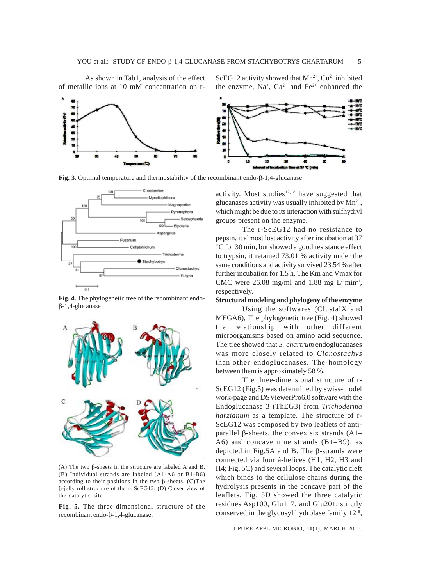As shown in Tab1, analysis of the effect of metallic ions at 10 mM concentration on rScEG12 activity showed that  $Mn^{2+}$ , Cu<sup>2+</sup> inhibited the enzyme,  $Na^+$ ,  $Ca^{2+}$  and  $Fe^{2+}$  enhanced the



**Fig. 3.** Optimal temperature and thermostability of the recombinant endo-β-1,4-glucanase



**Fig. 4.** The phylogenetic tree of the recombinant endoβ-1,4-glucanase



(A) The two β-sheets in the structure are labeled A and B. (B) Individual strands are labeled (A1-A6 or B1-B6) according to their positions in the two β-sheets. (C)The β-jelly roll structure of the r- ScEG12. (D) Closer view of the catalytic site

**Fig. 5.** The three-dimensional structure of the recombinant endo-β-1,4-glucanase.

activity. Most studies<sup>12,18</sup> have suggested that glucanases activity was usually inhibited by  $Mn^{2+}$ , which might be due to its interaction with sulfhydryl groups present on the enzyme.

The r-ScEG12 had no resistance to pepsin, it almost lost activity after incubation at 37 °C for 30 min, but showed a good resistance effect to trypsin, it retained 73.01 % activity under the same conditions and activity survived 23.54 % after further incubation for 1.5 h. The Km and Vmax for CMC were  $26.08 \text{ mg/ml}$  and  $1.88 \text{ mg L} \cdot \text{h}^{-1}$ , respectively.

## **Structural modeling and phylogeny of the enzyme**

Using the softwares (ClustalX and MEGA6), The phylogenetic tree (Fig. 4) showed the relationship with other different microorganisms based on amino acid sequence. The tree showed that *S. chartrum* endoglucanases was more closely related to *Clonostachys* than other endoglucanases. The homology between them is approximately 58 %.

The three-dimensional structure of r-ScEG12 (Fig.5) was determined by swiss-model work-page and DSViewerPro6.0 software with the Endoglucanase 3 (ThEG3) from *Trichoderma harzianum* as a template. The structure of r-ScEG12 was composed by two leaflets of antiparallel β-sheets, the convex six strands (A1– A6) and concave nine strands (B1–B9), as depicted in Fig.5A and B. The β-strands were connected via four á-helices (H1, H2, H3 and H4; Fig. 5C) and several loops. The catalytic cleft which binds to the cellulose chains during the hydrolysis presents in the concave part of the leaflets. Fig. 5D showed the three catalytic residues Asp100, Glu117, and Glu201, strictly conserved in the glycosyl hydrolase family 12<sup>8</sup>,

J PURE APPL MICROBIO*,* **10**(1), MARCH 2016.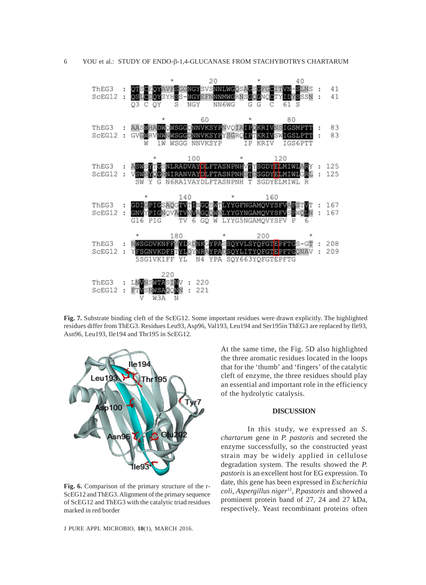

**Fig. 7.** Substrate binding cleft of the ScEG12. Some important residues were drawn explicitly. The highlighted residues differ from ThEG3. Residues Leu93, Asp96, Val193, Leu194 and Ser195in ThEG3 are replaced by Ile93, Asn96, Leu193, Ile194 and Thr195 in ScEG12.



**Fig. 6.** Comparison of the primary structure of the r-ScEG12 and ThEG3. Alignment of the primary sequence of ScEG12 and ThEG3 with the catalytic triad residues marked in red border

J PURE APPL MICROBIO*,* **10**(1), MARCH 2016.

At the same time, the Fig. 5D also highlighted the three aromatic residues located in the loops that for the 'thumb' and 'fingers' of the catalytic cleft of enzyme, the three residues should play an essential and important role in the efficiency of the hydrolytic catalysis.

#### **DISCUSSION**

In this study, we expressed an *S. chartarum* gene in *P. pastoris* and secreted the enzyme successfully, so the constructed yeast strain may be widely applied in cellulose degradation system. The results showed the *P. pastoris* is an excellent host for EG expression. To date, this gene has been expressed in *Escherichia coli*, *Aspergillus niger*12, *P.pastoris* and showed a prominent protein band of 27, 24 and 27 kDa, respectively. Yeast recombinant proteins often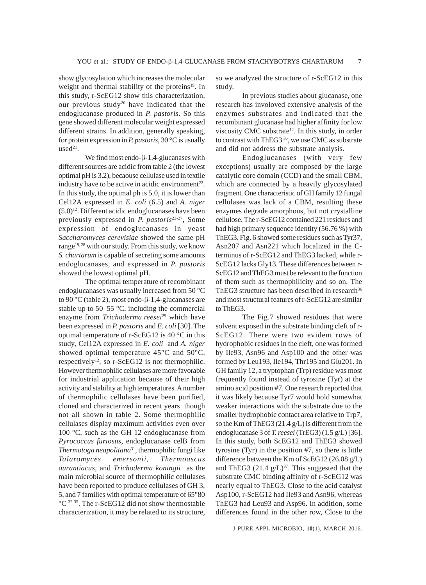show glycosylation which increases the molecular weight and thermal stability of the proteins<sup>19</sup>. In this study, r-ScEG12 show this characterization, our previous study<sup>20</sup> have indicated that the endoglucanase produced in *P. pastoris*. So this gene showed different molecular weight expressed different strains. In addition, generally speaking, for protein expression in *P. pastoris*, 30 °C is usually  $used<sup>21</sup>$ .

We find most endo-β-1,4-glucanases with different sources are acidic from table 2 (the lowest optimal pH is 3.2), becaouse cellulase used in textile industry have to be active in acidic environment<sup>22</sup>. In this study, the optimal ph is 5.0, it is lower than Cel12A expressed in *E. coli* (6.5) and *A. niger*  $(5.0)^{12}$ . Different acidic endoglucanases have been previously expressed in *P. pastoris*23-27, Some expression of endoglucanases in yeast *Saccharomyces cerevisiae* showed the same pH range<sup>19, 28</sup> with our study. From this study, we know *S. chartarum* is capable of secreting some amounts endoglucanases, and expressed in *P. pastoris* showed the lowest optimal pH.

The optimal temperature of recombinant endoglucanases was usually increased from 50 °C to 90 °C (table 2), most endo-β-1,4-glucanases are stable up to 50–55 °C, including the commercial enzyme from *Trichoderma reesei*<sup>29</sup> which have been expressed in *P. pastoris* and *E. coli* [30]. The optimal temperature of r-ScEG12 is 40 °C in this study, Cel12A expressed in *E. coli* and *A. niger* showed optimal temperature 45°C and 50°C, respectively<sup>12</sup>, so r-ScEG12 is not thermophilic. However thermophilic cellulases are more favorable for industrial application because of their high activity and stability at high temperatures. A number of thermophilic cellulases have been purified, cloned and characterized in recent years though not all shown in table 2. Some thermophilic cellulases display maximum activities even over 100 °C, such as the GH 12 endoglucanase from *Pyrococcus furiosus*, endoglucanase celB from *Thermotoga neapolitana*31, thermophilic fungi like *Talaromyces emersonii*, *Thermoascus aurantiacus,* and *Trichoderma koningii* as the main microbial source of thermophilic cellulases have been reported to produce cellulases of GH 3, 5, and 7 families with optimal temperature of 65"80 °C 32-35. The r-ScEG12 did not show thermostable characterization, it may be related to its structure,

so we analyzed the structure of r-ScEG12 in this study.

In previous studies about glucanase, one research has involoved extensive analysis of the enzymes substrates and indicated that the recombinant glucanase had higher affinity for low viscosity CMC substrate<sup>12</sup>. In this study, in order to contrast with ThEG3<sup>36</sup>, we use CMC as substrate and did not address the substrate analysis.

Endoglucanases (with very few exceptions) usually are composed by the large catalytic core domain (CCD) and the small CBM, which are connected by a heavily glycosylated fragment. One characteristic of GH family 12 fungal cellulases was lack of a CBM, resulting these enzymes degrade amorphous, but not crystalline cellulose. The r-ScEG12 contained 221 residues and had high primary sequence identity (56.76 %) with ThEG3. Fig. 6 showed some residues such as Tyr37, Asn207 and Asn221 which localized in the Cterminus of r-ScEG12 and ThEG3 lacked, while r-ScEG12 lacks Gly13. These differences between r-ScEG12 and ThEG3 must be relevant to the function of them such as thermophilicity and so on. The ThEG3 structure has been described in research $36$ and most structural features of r-ScEG12 are similar to ThEG3.

The Fig.7 showed residues that were solvent exposed in the substrate binding cleft of r-ScEG12. There were two evident rows of hydrophobic residues in the cleft, one was formed by Ile93, Asn96 and Asp100 and the other was formed by Leu193, Ile194, Thr195 and Glu201. In GH family 12, a tryptophan (Trp) residue was most frequently found instead of tyrosine (Tyr) at the amino acid position #7. One research reported that it was likely because Tyr7 would hold somewhat weaker interactions with the substrate due to the smaller hydrophobic contact area relative to Trp7, so the Km of ThEG3 (21.4 g/L) is different from the endoglucanase 3 of *T. reesei* (TrEG3) (1.5 g/L) [36]. In this study, both ScEG12 and ThEG3 showed tyrosine (Tyr) in the position #7, so there is little difference between the Km of ScEG12 (26.08 g/L) and ThEG3  $(21.4 \text{ g/L})^{37}$ . This suggested that the substrate CMC binding affinity of r-ScEG12 was nearly equal to ThEG3. Close to the acid catalyst Asp100, r-ScEG12 had Ile93 and Asn96, whereas ThEG3 had Leu93 and Asp96. In addition, some differences found in the other row, Close to the

J PURE APPL MICROBIO*,* **10**(1), MARCH 2016.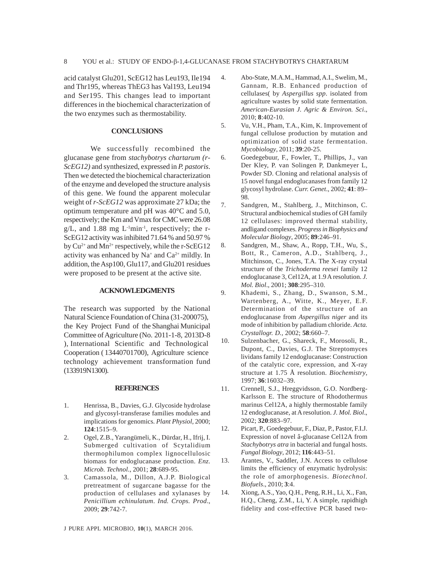acid catalyst Glu201, ScEG12 has Leu193, Ile194 and Thr195, whereas ThEG3 has Val193, Leu194 and Ser195. This changes lead to important differences in the biochemical characterization of the two enzymes such as thermostability.

## **CONCLUSIONS**

We successfully recombined the glucanase gene from *stachybotrys chartarum (r-ScEG12)* and synthesized, expressed in *P. pastoris*. Then we detected the biochemical characterization of the enzyme and developed the structure analysis of this gene. We found the apparent molecular weight of *r-ScEG12* was approximate 27 kDa; the optimum temperature and pH was 40°C and 5.0, respectively; the Km and Vmax for CMC were 26.08  $g/L$ , and 1.88 mg  $L^{-1}$ min<sup>-1</sup>, respectively; the r-ScEG12 activity was inhibited 71.64 % and 50.97 % by  $Cu^{2+}$  and  $Mn^{2+}$  respectively, while the r-ScEG12 activity was enhanced by  $Na^+$  and  $Ca^{2+}$  mildly. In addition, the Asp100, Glu117, and Glu201 residues were proposed to be present at the active site.

#### **ACKNOWLEDGMENTS**

The research was supported by the National Natural Science Foundation of China (31-200075), the Key Project Fund of the Shanghai Municipal Committee of Agriculture (No. 2011-1-8, 2013D-8 ), International Scientific and Technological Cooperation ( 13440701700), Agriculture science technology achievement transformation fund (133919N1300).

#### **REFERENCES**

- 1. Henrissa, B., Davies, G.J. Glycoside hydrolase and glycosyl-transferase families modules and implications for genomics. *Plant Physiol*, 2000; **124**:1515–9.
- 2. Ogel, Z.B., Yarangümeli, K., Dürdar, H., Ifrij, I. Submerged cultivation of Scytalidium thermophilumon complex lignocellulosic biomass for endoglucanase production. *Enz. Microb. Technol*., 2001; **28**:689-95.
- 3. Camassola, M., Dillon, A.J.P. Biological pretreatment of sugarcane bagasse for the production of cellulases and xylanases by *Penicillium echinulatum*. *Ind. Crops. Prod*., 2009; **29**:742-7.
- 4. Abo-State, M.A.M., Hammad, A.I., Swelim, M., Gannam, R.B. Enhanced production of cellulases( by *Aspergillus spp*. isolated from agriculture wastes by solid state fermentation. *American-Eurasian J. Agric & Environ. Sci*., 2010; **8**:402-10.
- 5. Vu, V.H., Pham, T.A., Kim, K. Improvement of fungal cellulose production by mutation and optimization of solid state fermentation. *Mycobiology*, 2011; **39**:20-25.
- 6. Goedegebuur, F., Fowler, T., Phillips, J., van Der Kley, P. van Solingen P, Dankmeyer L, Powder SD. Cloning and relational analysis of 15 novel fungal endoglucanases from family 12 glycosyl hydrolase. *Curr. Genet*., 2002; **41**: 89– 98.
- 7. Sandgren, M., Stahlberg, J., Mitchinson, C. Structural andbiochemical studies of GH family 12 cellulases: improved thermal stability, andligand complexes. *Progress in Biophysics and Molecular Biology*, 2005; **89**:246–91.
- 8. Sandgren, M., Shaw, A., Ropp, T.H., Wu, S., Bott, R., Cameron, A.D., Stahlberq, J., Mitchinson, C., Jones, T.A. The X-ray crystal structure of the *Trichoderma reesei* family 12 endoglucanase 3, Cel12A, at 1.9 A resolution. *J. Mol. Biol*., 2001; **308**:295–310.
- 9. Khademi, S., Zhang, D., Swanson, S.M., Wartenberg, A., Witte, K., Meyer, E.F. Determination of the structure of an endoglucanase from *Aspergillus niger* and its mode of inhibition by palladium chloride. *Acta. Crystallogr. D.,* 2002; **58**:660–7.
- 10. Sulzenbacher, G., Shareck, F., Morosoli, R., Dupont, C., Davies, G.J. The Streptomyces lividans family 12 endoglucanase: Construction of the catalytic core, expression, and X-ray structure at 1.75 Å resolution. *Biochemistry*, 1997; **36**:16032–39.
- 11. Crennell, S.J., Hreggvidsson, G.O. Nordberg-Karlsson E. The structure of Rhodothermus marinus Cel12A, a highly thermostable family 12 endoglucanase, at A resolution. *J. Mol. Biol*., 2002; **320**:883–97.
- 12. Picart, P., Goedegebuur, F., Diaz, P., Pastor, F.I.J. Expression of novel â-glucanase Cel12A from *Stachybotrys atra* in bacterial and fungal hosts. *Fungal Biology*, 2012; **116**:443–51.
- 13. Arantes, V., Saddler, J.N. Access to cellulose limits the efficiency of enzymatic hydrolysis: the role of amorphogenesis. *Biotechnol. Biofuels*., 2010; **3**:4.
- 14. Xiong, A.S., Yao, Q.H., Peng, R.H., Li, X., Fan, H.Q., Cheng, Z.M., Li, Y. A simple, rapidhigh fidelity and cost-effective PCR based two-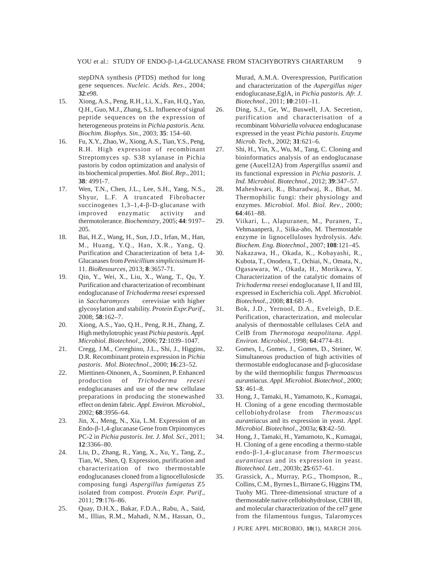stepDNA synthesis (PTDS) method for long gene sequences. *Nucleic. Acids. Res*., 2004; **32**:e98.

- 15. Xiong, A.S., Peng, R.H., Li, X., Fan, H.Q., Yao, Q.H., Guo, M.J., Zhang, S.L. Influence of signal peptide sequences on the expression of heterogeneous proteins in *Pichia pastoris. Acta. Biochim. Biophys. Sin*., 2003; **35**: 154–60.
- 16. Fu, X.Y., Zhao, W., Xiong, A.S., Tian, Y.S., Peng, R.H. High expression of recombinant Streptomyces sp. S38 xylanase in Pichia pastoris by codon optimization and analysis of its biochemical properties. *Mol. Biol. Rep*., 2011; **38**: 4991-7.
- 17. Wen, T.N., Chen, J.L., Lee, S.H., Yang, N.S., Shyur, L.F. A truncated Fibrobacter succinogenes 1,3–1,4-β-D-glucanase with improved enzymatic activity and thermotolerance. *Biochemistry*, 2005; **44**: 9197– 205.
- 18. Bai, H.Z., Wang, H., Sun, J.D., Irfan, M., Han, M., Huang, Y.Q., Han, X.R., Yang, Q. Purification and Characterization of beta 1,4- Glucanases from *Penicillium simplicissimum* H-11. *BioResources*, 2013; **8**:3657-71.
- 19. Qin, Y., Wei, X., Liu, X., Wang, T., Qu, Y. Purification and characterization of recombinant endoglucanase of *Trichoderma reesei* expressed in *Saccharomyces* cerevisiae with higher glycosylation and stability. *Protein Expr.Purif*., 2008; **58**:162–7.
- 20. Xiong, A.S., Yao, Q.H., Peng, R.H., Zhang, Z. High methylotrophic yeast *Pichia pastoris*. *Appl. Microbiol. Biotechnol*., 2006; **72**:1039–1047.
- 21. Cregg, J.M., Cereghino, J.L., Shi, J., Higgins, D.R. Recombinant protein expression in *Pichia pastoris*. *Mol. Biotechnol*., 2000; **16**:23–52.
- 22. Miettinen-Oinonen, A., Suominen, P. Enhanced production of *Trichoderma reesei* endoglucanases and use of the new cellulase preparations in producing the stonewashed effect on denim fabric. *Appl. Environ. Microbiol*., 2002; **68**:3956–64.
- 23. Jin, X., Meng, N., Xia, L.M. Expression of an Endo-β-1,4-glucanase Gene from Orpinomyces PC-2 in *Pichia pastoris*. *Int. J. Mol. Sci*., 2011; **12**:3366–80.
- 24. Liu, D., Zhang, R., Yang, X., Xu, Y., Tang, Z., Tian, W., Shen, Q. Expression, purification and characterization of two thermostable endoglucanases cloned from a lignocellulosicde composing fungi *Aspergillus fumigatus* Z5 isolated from compost. *Protein Expr. Purif*., 2011; **79**:176–86.
- 25. Quay, D.H.X., Bakar, F.D.A., Rabu, A., Said, M., Illias, R.M., Mahadi, N.M., Hassan, O.,

Murad, A.M.A. Overexpression, Purification and characterization of the *Aspergillus niger* endoglucanase,EglA, in *Pichia pastoris. Afr. J. Biotechnol*., 2011; **10**:2101–11.

- 26. Ding, S.J., Ge, W., Buswell, J.A. Secretion, purification and characterisation of a recombinant *Volvariella volvacea* endoglucanase expressed in the yeast *Pichia pastoris*. *Enzyme Microb. Tech*., 2002; **31**:621–6.
- 27. Shi, H., Yin, X., Wu, M., Tang, C. Cloning and bioinformatics analysis of an endoglucanase gene (Aucel12A) from *Aspergillus usamii* and its functional expression in *Pichia pastoris*. *J. Ind. Microbiol. Biotechnol*., 2012; **39**:347–57.
- 28. Maheshwari, R., Bharadwaj, R., Bhat, M. Thermophilic fungi: their physiology and enzymes. *Microbiol. Mol. Biol. Rev*., 2000; **64**:461–88.
- 29. Viikari, L., Alapuranen, M., Puranen, T., Vehmaanperä, J., Siika-aho, M. Thermostable enzyme in lignocelluloses hydrolysis. *Adv. Biochem. Eng. Biotechnol*., 2007; **108**:121–45.
- 30. Nakazawa, H., Okada, K., Kobayashi, R., Kubota, T., Onodera, T., Ochiai, N., Omata, N., Ogasawara, W., Okada, H., Morikawa, Y. Characterization of the catalytic domains of *Trichoderma reesei* endoglucanase I, II and III, expressed in Escherichia coli. *Appl. Microbiol. Biotechnol*., 2008; **81**:681–9.
- 31. Bok, J.D., Yernool, D.A., Eveleigh, D.E. Purification, characterization, and molecular analysis of thermostable cellulases CelA and CelB from *Thermotoga neapolitana*. *Appl. Environ. Microbiol*., 1998; **64**:4774–81.
- 32. Gomes, I., Gomes, J., Gomes, D., Steiner, W. Simultaneous production of high activities of thermostable endoglucanase and β-glucosidase by the wild thermophilic fungus *Thermoascus aurantiacus*. *Appl. Microbiol. Biotechnol*., 2000; **53**: 461–8.
- 33. Hong, J., Tamaki, H., Yamamoto, K., Kumagai, H. Cloning of a gene encoding thermostable cellobiohydrolase from *Thermoascus aurantiacus* and its expression in yeast. *Appl. Microbiol. Biotechnol*., 2003a; **63**:42–50.
- 34. Hong, J., Tamaki, H., Yamamoto, K., Kumagai, H. Cloning of a gene encoding a thermo-stable endo-β-1,4-glucanase from *Thermoascus aurantiacus* and its expression in yeast. *Biotechnol. Lett*., 2003b; **25**:657–61.
- 35. Grassick, A., Murray, P.G., Thompson, R., Collins, C.M., Byrnes L, Birrane G, Higgins TM, Tuohy MG. Three-dimensional structure of a thermostable native cellobiohydrolase, CBH IB, and molecular characterization of the cel7 gene from the filamentous fungus, Talaromyces

J PURE APPL MICROBIO*,* **10**(1), MARCH 2016.